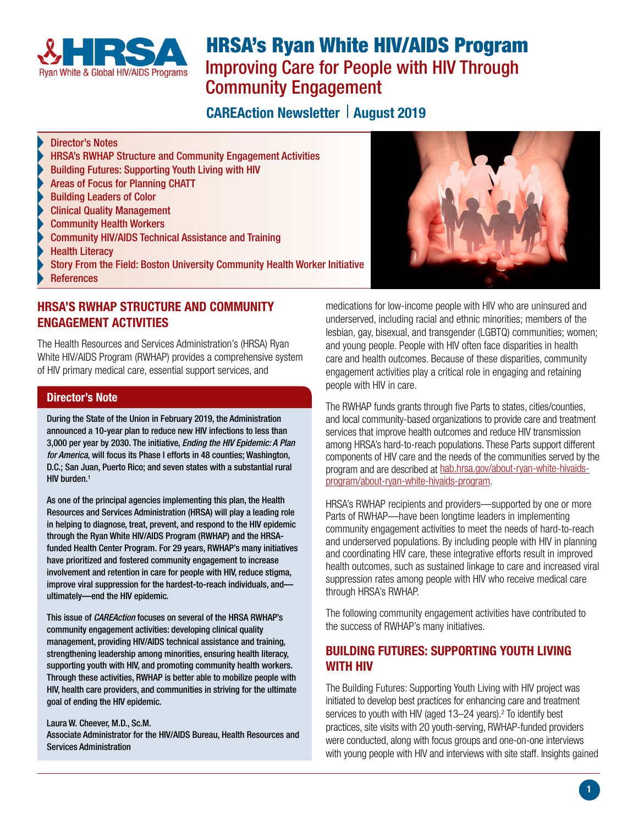<span id="page-0-1"></span>

# HRSA's Ryan White HIV/AIDS Program Improving Care for People with HIV Through Community Engagement

## **CAREAction Newsletter | August 2019**

#### Director's Notes

- HRSA's RWHAP Structure and Community Engagement Activities
- [Building Futures: Supporting Youth Living with HIV](#page-0-0)
- [Areas of Focus for Planning CHATT](#page-1-0)
- [Building Leaders of Color](#page-1-1)
- [Clinical Quality Management](#page-1-2)
- [Community Health Workers](#page-1-3)
- [Community HIV/AIDS Technical Assistance and Training](#page-1-4)
- [Health Literacy](#page-1-5)
- [Story From the Field: Boston University Community Health Worker Initiative](#page-1-6)
- **[References](#page-2-0)**

#### HRSA'S RWHAP STRUCTURE AND COMMUNITY ENGAGEMENT ACTIVITIES

The Health Resources and Services Administration's (HRSA) Ryan White HIV/AIDS Program (RWHAP) provides a comprehensive system of HIV primary medical care, essential support services, and

#### Director's Note

During the State of the Union in February 2019, the Administration announced a 10-year plan to reduce new HIV infections to less than 3,000 per year by 2030. The initiative, *Ending the HIV Epidemic: A Plan for America*, will focus its Phase I efforts in 48 counties; Washington, D.C.; San Juan, Puerto Rico; and seven states with a substantial rural HIV burden.<sup>1</sup>

As one of the principal agencies implementing this plan, the Health Resources and Services Administration (HRSA) will play a leading role in helping to diagnose, treat, prevent, and respond to the HIV epidemic through the Ryan White HIV/AIDS Program (RWHAP) and the HRSAfunded Health Center Program. For 29 years, RWHAP's many initiatives have prioritized and fostered community engagement to increase involvement and retention in care for people with HIV, reduce stigma, improve viral suppression for the hardest-to-reach individuals, and ultimately—end the HIV epidemic.

This issue of *CAREAction* focuses on several of the HRSA RWHAP's community engagement activities: developing clinical quality management, providing HIV/AIDS technical assistance and training, strengthening leadership among minorities, ensuring health literacy, supporting youth with HIV, and promoting community health workers. Through these activities, RWHAP is better able to mobilize people with HIV, health care providers, and communities in striving for the ultimate goal of ending the HIV epidemic.

#### Laura W. Cheever, M.D., Sc.M.

Associate Administrator for the HIV/AIDS Bureau, Health Resources and Services Administration



medications for low-income people with HIV who are uninsured and underserved, including racial and ethnic minorities; members of the lesbian, gay, bisexual, and transgender (LGBTQ) communities; women; and young people. People with HIV often face disparities in health care and health outcomes. Because of these disparities, community engagement activities play a critical role in engaging and retaining people with HIV in care.

The RWHAP funds grants through five Parts to states, cities/counties, and local community-based organizations to provide care and treatment services that improve health outcomes and reduce HIV transmission among HRSA's hard-to-reach populations. These Parts support different components of HIV care and the needs of the communities served by the program and are described at [hab.hrsa.gov/about-ryan-white-hivaids](http://hab.hrsa.gov/about-ryan-white-hivaids-program/about-ryan-white-hivaids-program)[program/about-ryan-white-hivaids-program](http://hab.hrsa.gov/about-ryan-white-hivaids-program/about-ryan-white-hivaids-program).

HRSA's RWHAP recipients and providers—supported by one or more Parts of RWHAP—have been longtime leaders in implementing community engagement activities to meet the needs of hard-to-reach and underserved populations. By including people with HIV in planning and coordinating HIV care, these integrative efforts result in improved health outcomes, such as sustained linkage to care and increased viral suppression rates among people with HIV who receive medical care through HRSA's RWHAP.

The following community engagement activities have contributed to the success of RWHAP's many initiatives.

## <span id="page-0-0"></span>BUILDING FUTURES: SUPPORTING YOUTH LIVING WITH HIV

The Building Futures: Supporting Youth Living with HIV project was initiated to develop best practices for enhancing care and treatment services to youth with HIV (aged  $13-24$  years)[.](#page-2-1)<sup>2</sup> To identify best practices, site visits with 20 youth-serving, RWHAP-funded providers were conducted, along with focus groups and one-on-one interviews with young people with HIV and interviews with site staff. Insights gained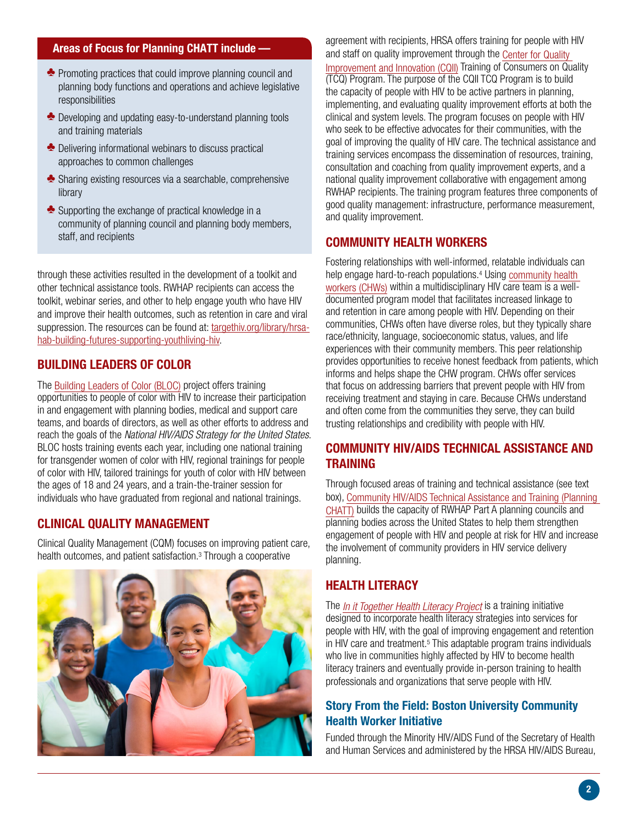#### <span id="page-1-7"></span><span id="page-1-0"></span>Areas of Focus for Planning CHATT include —

- $\triangle$  Promoting practices that could improve planning council and planning body functions and operations and achieve legislative responsibilities
- $\triangle$  Developing and updating easy-to-understand planning tools and training materials
- $\triangle$  Delivering informational webinars to discuss practical approaches to common challenges
- $\triangle$  Sharing existing resources via a searchable, comprehensive library
- $\triangle$  Supporting the exchange of practical knowledge in a community of planning council and planning body members, staff, and recipients

through these activities resulted in the development of a toolkit and other technical assistance tools. RWHAP recipients can access the toolkit, webinar series, and other to help engage youth who have HIV and improve their health outcomes, such as retention in care and viral suppression. The resources can be found at: [targethiv.org/library/hrsa](https://targethiv.org/library/building-futures-supporting-youth-living-hiv-technical-assistance-toolkit)[hab-building-futures-supporting-youthliving-hiv.](https://targethiv.org/library/building-futures-supporting-youth-living-hiv-technical-assistance-toolkit)

#### <span id="page-1-1"></span>BUILDING LEADERS OF COLOR

TheBuilding Leaders of Color (BLOC) project offers training opportunities to people of color with HIV to increase their participation in and engagement with planning bodies, medical and support care teams, and boards of directors, as well as other efforts to address and reach the goals of the *National HIV/AIDS Strategy for the United States*. BLOC hosts training events each year, including one national training for transgender women of color with HIV, regional trainings for people of color with HIV, tailored trainings for youth of color with HIV between the ages of 18 and 24 years, and a train-the-trainer session for individuals who have graduated from regional and national trainings.

## <span id="page-1-2"></span>CLINICAL QUALITY MANAGEMENT

Clinical Quality Management (CQM) focuses on improving patient care, healthoutcomes, and patient satisfaction.<sup>[3](#page-2-1)</sup> Through a cooperative



agreement with recipients, HRSA offers training for people with HIV and staff on quality improvement through the [Center for Quality](https://targethiv.org/cqii)  [Improvement and Innovation \(CQII\)](https://targethiv.org/cqii) Training of Consumers on Quality (TCQ) Program. The purpose of the CQII TCQ Program is to build the capacity of people with HIV to be active partners in planning, implementing, and evaluating quality improvement efforts at both the clinical and system levels. The program focuses on people with HIV who seek to be effective advocates for their communities, with the goal of improving the quality of HIV care. The technical assistance and training services encompass the dissemination of resources, training, consultation and coaching from quality improvement experts, and a national quality improvement collaborative with engagement among RWHAP recipients. The training program features three components of good quality management: infrastructure, performance measurement, and quality improvement.

#### <span id="page-1-3"></span>COMMUNITY HEALTH WORKERS

Fostering relationships with well-informed, relatable individuals can help engage hard-to-reach populations.<sup>4</sup> Using community health [workers \(CHWs\)](https://targethiv.org/chw) within a multidisciplinary HIV care team is a welldocumented program model that facilitates increased linkage to and retention in care among people with HIV. Depending on their communities, CHWs often have diverse roles, but they typically share race/ethnicity, language, socioeconomic status, values, and life experiences with their community members. This peer relationship provides opportunities to receive honest feedback from patients, which informs and helps shape the CHW program. CHWs offer services that focus on addressing barriers that prevent people with HIV from receiving treatment and staying in care. Because CHWs understand and often come from the communities they serve, they can build trusting relationships and credibility with people with HIV.

## <span id="page-1-4"></span>COMMUNITY HIV/AIDS TECHNICAL ASSISTANCE AND TRAINING

Through focused areas of training and technical assistance (see text box), [Community HIV/AIDS Technical Assistance and Training \(Planning](https://targethiv.org/planning-chatt)  [CHATT\)](https://targethiv.org/planning-chatt) builds the capacity of RWHAP Part A planning councils and planning bodies across the United States to help them strengthen engagement of people with HIV and people at risk for HIV and increase the involvement of community providers in HIV service delivery planning.

## <span id="page-1-5"></span>HEALTH LITERACY

The *[In it Together Health Literacy Project](https://targethiv.org/healthliteracy)* is a training initiative designed to incorporate health literacy strategies into services for people with HIV, with the goal of improving engagement and retention inHIV care and treatment.<sup>5</sup> This adaptable program trains individuals who live in communities highly affected by HIV to become health literacy trainers and eventually provide in-person training to health professionals and organizations that serve people with HIV.

#### <span id="page-1-6"></span>Story From the Field: Boston University Community Health Worker Initiative

Funded through the Minority HIV/AIDS Fund of the Secretary of Health and Human Services and administered by the HRSA HIV/AIDS Bureau,

2